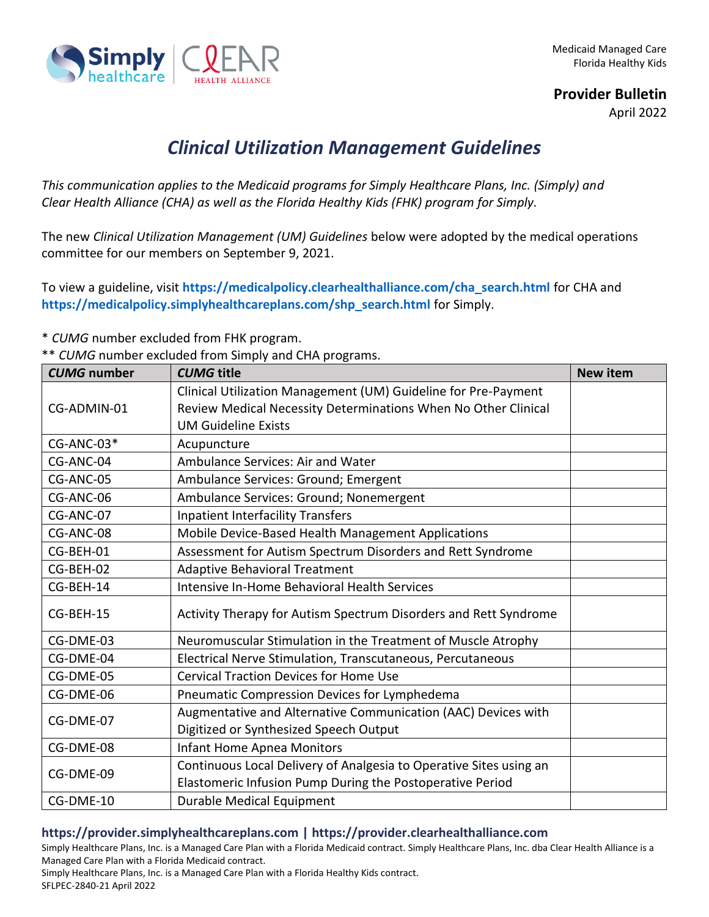

**Provider Bulletin**

April 2022

## *Clinical Utilization Management Guidelines*

*This communication applies to the Medicaid programs for Simply Healthcare Plans, Inc. (Simply) and Clear Health Alliance (CHA) as well as the Florida Healthy Kids (FHK) program for Simply.*

The new *Clinical Utilization Management (UM) Guidelines* below were adopted by the medical operations committee for our members on September 9, 2021.

To view a guideline, visit **[https://medicalpolicy.clearhealthalliance.com/cha\\_search.html](https://medicalpolicy.clearhealthalliance.com/cha_search.html)** for CHA and **[https://medicalpolicy.simplyhealthcareplans.com/shp\\_search.html](https://medicalpolicy.simplyhealthcareplans.com/shp_search.html)** for Simply.

\* *CUMG* number excluded from FHK program.

|  |  |  |  | ** CUMG number excluded from Simply and CHA programs. |
|--|--|--|--|-------------------------------------------------------|
|--|--|--|--|-------------------------------------------------------|

| <b>CUMG</b> number | <b>CUMG</b> title                                                  | <b>New item</b> |
|--------------------|--------------------------------------------------------------------|-----------------|
|                    | Clinical Utilization Management (UM) Guideline for Pre-Payment     |                 |
| CG-ADMIN-01        | Review Medical Necessity Determinations When No Other Clinical     |                 |
|                    | <b>UM Guideline Exists</b>                                         |                 |
| CG-ANC-03*         | Acupuncture                                                        |                 |
| CG-ANC-04          | Ambulance Services: Air and Water                                  |                 |
| CG-ANC-05          | Ambulance Services: Ground; Emergent                               |                 |
| CG-ANC-06          | Ambulance Services: Ground; Nonemergent                            |                 |
| CG-ANC-07          | <b>Inpatient Interfacility Transfers</b>                           |                 |
| CG-ANC-08          | Mobile Device-Based Health Management Applications                 |                 |
| CG-BEH-01          | Assessment for Autism Spectrum Disorders and Rett Syndrome         |                 |
| CG-BEH-02          | <b>Adaptive Behavioral Treatment</b>                               |                 |
| CG-BEH-14          | Intensive In-Home Behavioral Health Services                       |                 |
| CG-BEH-15          | Activity Therapy for Autism Spectrum Disorders and Rett Syndrome   |                 |
| CG-DME-03          | Neuromuscular Stimulation in the Treatment of Muscle Atrophy       |                 |
| CG-DME-04          | Electrical Nerve Stimulation, Transcutaneous, Percutaneous         |                 |
| CG-DME-05          | <b>Cervical Traction Devices for Home Use</b>                      |                 |
| CG-DME-06          | Pneumatic Compression Devices for Lymphedema                       |                 |
| CG-DME-07          | Augmentative and Alternative Communication (AAC) Devices with      |                 |
|                    | Digitized or Synthesized Speech Output                             |                 |
| CG-DME-08          | <b>Infant Home Apnea Monitors</b>                                  |                 |
| CG-DME-09          | Continuous Local Delivery of Analgesia to Operative Sites using an |                 |
|                    | Elastomeric Infusion Pump During the Postoperative Period          |                 |
| CG-DME-10          | Durable Medical Equipment                                          |                 |

## **https://provider.simplyhealthcareplans.com | https://provider.clearhealthalliance.com**

Simply Healthcare Plans, Inc. is a Managed Care Plan with a Florida Medicaid contract. Simply Healthcare Plans, Inc. dba Clear Health Alliance is a Managed Care Plan with a Florida Medicaid contract.

Simply Healthcare Plans, Inc. is a Managed Care Plan with a Florida Healthy Kids contract. SFLPEC-2840-21 April 2022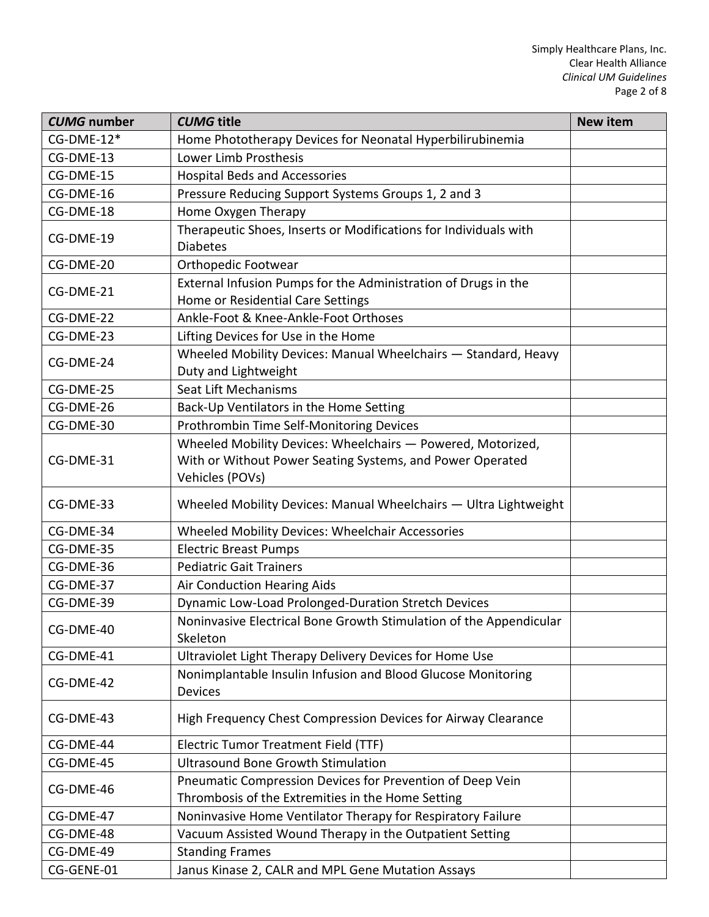| <b>CUMG</b> number | <b>CUMG title</b>                                                                      | <b>New item</b> |
|--------------------|----------------------------------------------------------------------------------------|-----------------|
| $CG-DME-12*$       | Home Phototherapy Devices for Neonatal Hyperbilirubinemia                              |                 |
| CG-DME-13          | Lower Limb Prosthesis                                                                  |                 |
| CG-DME-15          | <b>Hospital Beds and Accessories</b>                                                   |                 |
| CG-DME-16          | Pressure Reducing Support Systems Groups 1, 2 and 3                                    |                 |
| CG-DME-18          | Home Oxygen Therapy                                                                    |                 |
| CG-DME-19          | Therapeutic Shoes, Inserts or Modifications for Individuals with                       |                 |
|                    | <b>Diabetes</b>                                                                        |                 |
| CG-DME-20          | Orthopedic Footwear                                                                    |                 |
| CG-DME-21          | External Infusion Pumps for the Administration of Drugs in the                         |                 |
|                    | Home or Residential Care Settings                                                      |                 |
| CG-DME-22          | Ankle-Foot & Knee-Ankle-Foot Orthoses                                                  |                 |
| CG-DME-23          | Lifting Devices for Use in the Home                                                    |                 |
| CG-DME-24          | Wheeled Mobility Devices: Manual Wheelchairs - Standard, Heavy<br>Duty and Lightweight |                 |
| CG-DME-25          | Seat Lift Mechanisms                                                                   |                 |
| CG-DME-26          | Back-Up Ventilators in the Home Setting                                                |                 |
| CG-DME-30          | Prothrombin Time Self-Monitoring Devices                                               |                 |
|                    | Wheeled Mobility Devices: Wheelchairs - Powered, Motorized,                            |                 |
| CG-DME-31          | With or Without Power Seating Systems, and Power Operated                              |                 |
|                    | Vehicles (POVs)                                                                        |                 |
| CG-DME-33          | Wheeled Mobility Devices: Manual Wheelchairs - Ultra Lightweight                       |                 |
| CG-DME-34          | Wheeled Mobility Devices: Wheelchair Accessories                                       |                 |
| CG-DME-35          | <b>Electric Breast Pumps</b>                                                           |                 |
| CG-DME-36          | <b>Pediatric Gait Trainers</b>                                                         |                 |
| CG-DME-37          | Air Conduction Hearing Aids                                                            |                 |
| CG-DME-39          | Dynamic Low-Load Prolonged-Duration Stretch Devices                                    |                 |
| CG-DME-40          | Noninvasive Electrical Bone Growth Stimulation of the Appendicular<br>Skeleton         |                 |
| CG-DME-41          | Ultraviolet Light Therapy Delivery Devices for Home Use                                |                 |
| CG-DME-42          | Nonimplantable Insulin Infusion and Blood Glucose Monitoring<br><b>Devices</b>         |                 |
| CG-DME-43          | High Frequency Chest Compression Devices for Airway Clearance                          |                 |
| CG-DME-44          | Electric Tumor Treatment Field (TTF)                                                   |                 |
| CG-DME-45          | <b>Ultrasound Bone Growth Stimulation</b>                                              |                 |
|                    | Pneumatic Compression Devices for Prevention of Deep Vein                              |                 |
| CG-DME-46          | Thrombosis of the Extremities in the Home Setting                                      |                 |
| CG-DME-47          | Noninvasive Home Ventilator Therapy for Respiratory Failure                            |                 |
| CG-DME-48          | Vacuum Assisted Wound Therapy in the Outpatient Setting                                |                 |
| CG-DME-49          | <b>Standing Frames</b>                                                                 |                 |
| CG-GENE-01         | Janus Kinase 2, CALR and MPL Gene Mutation Assays                                      |                 |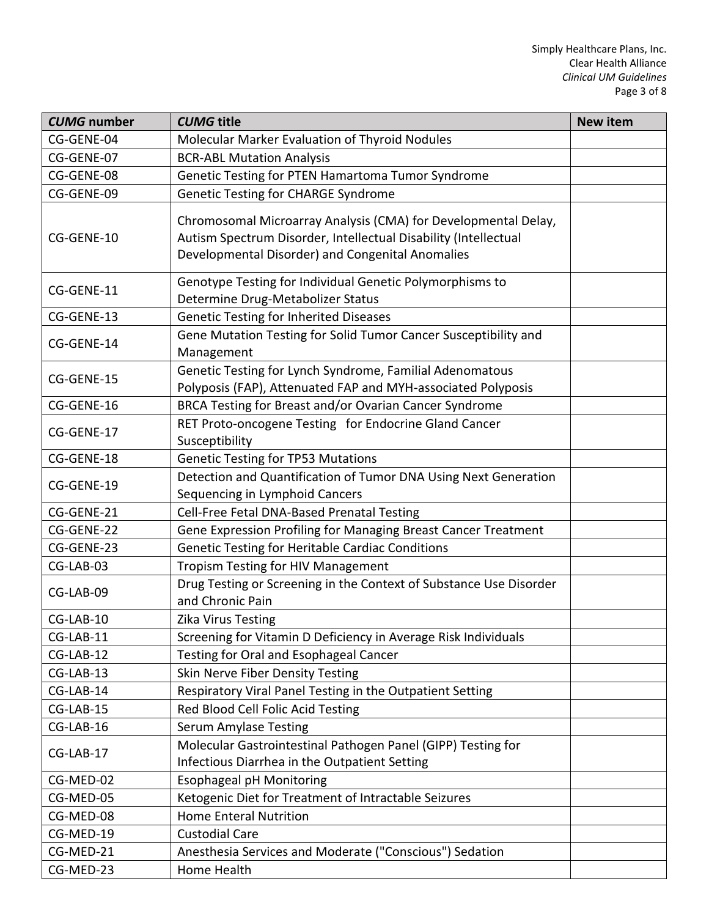| <b>CUMG</b> number | <b>CUMG</b> title                                                                                                                                                                     | <b>New item</b> |
|--------------------|---------------------------------------------------------------------------------------------------------------------------------------------------------------------------------------|-----------------|
| CG-GENE-04         | Molecular Marker Evaluation of Thyroid Nodules                                                                                                                                        |                 |
| CG-GENE-07         | <b>BCR-ABL Mutation Analysis</b>                                                                                                                                                      |                 |
| CG-GENE-08         | Genetic Testing for PTEN Hamartoma Tumor Syndrome                                                                                                                                     |                 |
| CG-GENE-09         | <b>Genetic Testing for CHARGE Syndrome</b>                                                                                                                                            |                 |
| CG-GENE-10         | Chromosomal Microarray Analysis (CMA) for Developmental Delay,<br>Autism Spectrum Disorder, Intellectual Disability (Intellectual<br>Developmental Disorder) and Congenital Anomalies |                 |
| CG-GENE-11         | Genotype Testing for Individual Genetic Polymorphisms to<br>Determine Drug-Metabolizer Status                                                                                         |                 |
| CG-GENE-13         | <b>Genetic Testing for Inherited Diseases</b>                                                                                                                                         |                 |
| CG-GENE-14         | Gene Mutation Testing for Solid Tumor Cancer Susceptibility and<br>Management                                                                                                         |                 |
| CG-GENE-15         | Genetic Testing for Lynch Syndrome, Familial Adenomatous<br>Polyposis (FAP), Attenuated FAP and MYH-associated Polyposis                                                              |                 |
| CG-GENE-16         | BRCA Testing for Breast and/or Ovarian Cancer Syndrome                                                                                                                                |                 |
| CG-GENE-17         | RET Proto-oncogene Testing for Endocrine Gland Cancer<br>Susceptibility                                                                                                               |                 |
| CG-GENE-18         | <b>Genetic Testing for TP53 Mutations</b>                                                                                                                                             |                 |
| CG-GENE-19         | Detection and Quantification of Tumor DNA Using Next Generation<br>Sequencing in Lymphoid Cancers                                                                                     |                 |
| CG-GENE-21         | Cell-Free Fetal DNA-Based Prenatal Testing                                                                                                                                            |                 |
| CG-GENE-22         | Gene Expression Profiling for Managing Breast Cancer Treatment                                                                                                                        |                 |
| CG-GENE-23         | Genetic Testing for Heritable Cardiac Conditions                                                                                                                                      |                 |
| CG-LAB-03          | <b>Tropism Testing for HIV Management</b>                                                                                                                                             |                 |
| CG-LAB-09          | Drug Testing or Screening in the Context of Substance Use Disorder<br>and Chronic Pain                                                                                                |                 |
| CG-LAB-10          | <b>Zika Virus Testing</b>                                                                                                                                                             |                 |
| CG-LAB-11          | Screening for Vitamin D Deficiency in Average Risk Individuals                                                                                                                        |                 |
| CG-LAB-12          | Testing for Oral and Esophageal Cancer                                                                                                                                                |                 |
| CG-LAB-13          | Skin Nerve Fiber Density Testing                                                                                                                                                      |                 |
| CG-LAB-14          | Respiratory Viral Panel Testing in the Outpatient Setting                                                                                                                             |                 |
| CG-LAB-15          | Red Blood Cell Folic Acid Testing                                                                                                                                                     |                 |
| CG-LAB-16          | <b>Serum Amylase Testing</b>                                                                                                                                                          |                 |
| CG-LAB-17          | Molecular Gastrointestinal Pathogen Panel (GIPP) Testing for<br>Infectious Diarrhea in the Outpatient Setting                                                                         |                 |
| CG-MED-02          | <b>Esophageal pH Monitoring</b>                                                                                                                                                       |                 |
| CG-MED-05          | Ketogenic Diet for Treatment of Intractable Seizures                                                                                                                                  |                 |
| CG-MED-08          | <b>Home Enteral Nutrition</b>                                                                                                                                                         |                 |
| CG-MED-19          | <b>Custodial Care</b>                                                                                                                                                                 |                 |
| CG-MED-21          | Anesthesia Services and Moderate ("Conscious") Sedation                                                                                                                               |                 |
| CG-MED-23          | Home Health                                                                                                                                                                           |                 |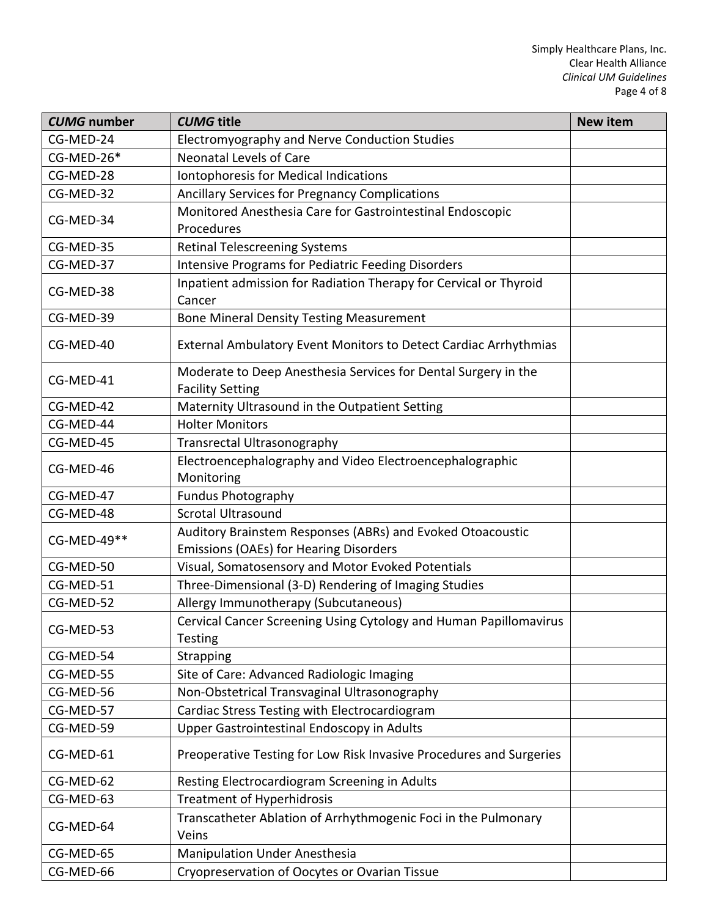| <b>CUMG</b> number | <b>CUMG</b> title                                                                                           | <b>New item</b> |
|--------------------|-------------------------------------------------------------------------------------------------------------|-----------------|
| CG-MED-24          | Electromyography and Nerve Conduction Studies                                                               |                 |
| CG-MED-26*         | <b>Neonatal Levels of Care</b>                                                                              |                 |
| CG-MED-28          | Iontophoresis for Medical Indications                                                                       |                 |
| CG-MED-32          | Ancillary Services for Pregnancy Complications                                                              |                 |
| CG-MED-34          | Monitored Anesthesia Care for Gastrointestinal Endoscopic<br>Procedures                                     |                 |
| CG-MED-35          | <b>Retinal Telescreening Systems</b>                                                                        |                 |
| CG-MED-37          | Intensive Programs for Pediatric Feeding Disorders                                                          |                 |
| CG-MED-38          | Inpatient admission for Radiation Therapy for Cervical or Thyroid<br>Cancer                                 |                 |
| CG-MED-39          | <b>Bone Mineral Density Testing Measurement</b>                                                             |                 |
| CG-MED-40          | External Ambulatory Event Monitors to Detect Cardiac Arrhythmias                                            |                 |
| CG-MED-41          | Moderate to Deep Anesthesia Services for Dental Surgery in the<br><b>Facility Setting</b>                   |                 |
| CG-MED-42          | Maternity Ultrasound in the Outpatient Setting                                                              |                 |
| CG-MED-44          | <b>Holter Monitors</b>                                                                                      |                 |
| CG-MED-45          | <b>Transrectal Ultrasonography</b>                                                                          |                 |
| CG-MED-46          | Electroencephalography and Video Electroencephalographic<br>Monitoring                                      |                 |
| CG-MED-47          | <b>Fundus Photography</b>                                                                                   |                 |
| CG-MED-48          | <b>Scrotal Ultrasound</b>                                                                                   |                 |
| CG-MED-49**        | Auditory Brainstem Responses (ABRs) and Evoked Otoacoustic<br><b>Emissions (OAEs) for Hearing Disorders</b> |                 |
| CG-MED-50          | Visual, Somatosensory and Motor Evoked Potentials                                                           |                 |
| CG-MED-51          | Three-Dimensional (3-D) Rendering of Imaging Studies                                                        |                 |
| CG-MED-52          | Allergy Immunotherapy (Subcutaneous)                                                                        |                 |
| CG-MED-53          | Cervical Cancer Screening Using Cytology and Human Papillomavirus<br><b>Testing</b>                         |                 |
| CG-MED-54          | Strapping                                                                                                   |                 |
| CG-MED-55          | Site of Care: Advanced Radiologic Imaging                                                                   |                 |
| CG-MED-56          | Non-Obstetrical Transvaginal Ultrasonography                                                                |                 |
| CG-MED-57          | Cardiac Stress Testing with Electrocardiogram                                                               |                 |
| CG-MED-59          | Upper Gastrointestinal Endoscopy in Adults                                                                  |                 |
| CG-MED-61          | Preoperative Testing for Low Risk Invasive Procedures and Surgeries                                         |                 |
| CG-MED-62          | Resting Electrocardiogram Screening in Adults                                                               |                 |
| CG-MED-63          | <b>Treatment of Hyperhidrosis</b>                                                                           |                 |
| CG-MED-64          | Transcatheter Ablation of Arrhythmogenic Foci in the Pulmonary<br>Veins                                     |                 |
| CG-MED-65          | <b>Manipulation Under Anesthesia</b>                                                                        |                 |
| CG-MED-66          | Cryopreservation of Oocytes or Ovarian Tissue                                                               |                 |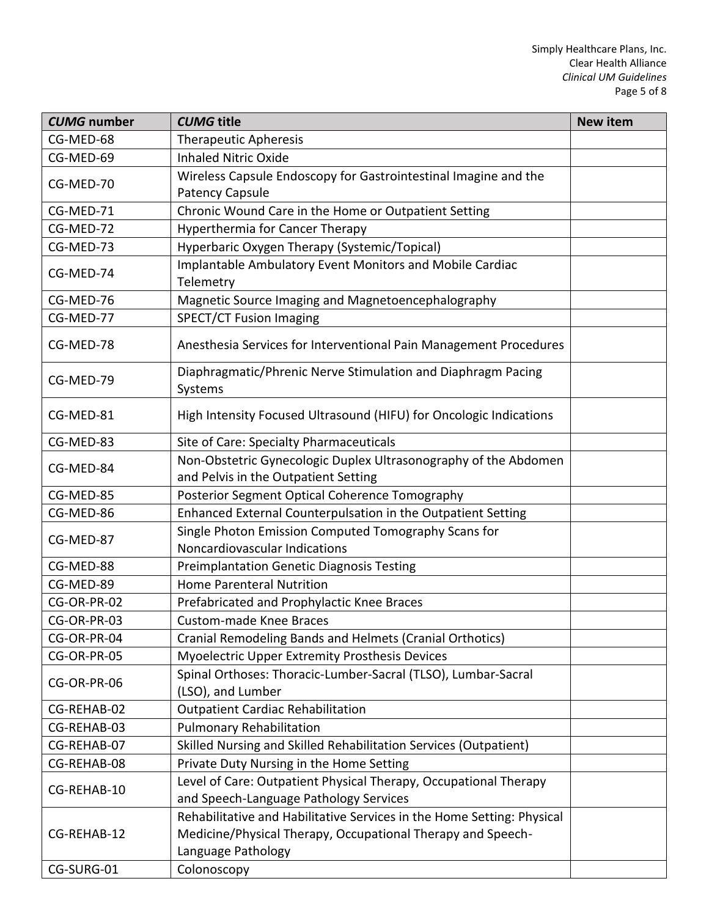| <b>CUMG</b> number | <b>CUMG</b> title                                                                                       | <b>New item</b> |
|--------------------|---------------------------------------------------------------------------------------------------------|-----------------|
| CG-MED-68          | <b>Therapeutic Apheresis</b>                                                                            |                 |
| CG-MED-69          | <b>Inhaled Nitric Oxide</b>                                                                             |                 |
| CG-MED-70          | Wireless Capsule Endoscopy for Gastrointestinal Imagine and the                                         |                 |
|                    | <b>Patency Capsule</b>                                                                                  |                 |
| CG-MED-71          | Chronic Wound Care in the Home or Outpatient Setting                                                    |                 |
| CG-MED-72          | <b>Hyperthermia for Cancer Therapy</b>                                                                  |                 |
| CG-MED-73          | Hyperbaric Oxygen Therapy (Systemic/Topical)                                                            |                 |
| CG-MED-74          | Implantable Ambulatory Event Monitors and Mobile Cardiac<br>Telemetry                                   |                 |
| CG-MED-76          | Magnetic Source Imaging and Magnetoencephalography                                                      |                 |
| CG-MED-77          | <b>SPECT/CT Fusion Imaging</b>                                                                          |                 |
| CG-MED-78          | Anesthesia Services for Interventional Pain Management Procedures                                       |                 |
| CG-MED-79          | Diaphragmatic/Phrenic Nerve Stimulation and Diaphragm Pacing<br>Systems                                 |                 |
| CG-MED-81          | High Intensity Focused Ultrasound (HIFU) for Oncologic Indications                                      |                 |
| CG-MED-83          | Site of Care: Specialty Pharmaceuticals                                                                 |                 |
| CG-MED-84          | Non-Obstetric Gynecologic Duplex Ultrasonography of the Abdomen<br>and Pelvis in the Outpatient Setting |                 |
| CG-MED-85          | Posterior Segment Optical Coherence Tomography                                                          |                 |
| CG-MED-86          | Enhanced External Counterpulsation in the Outpatient Setting                                            |                 |
| CG-MED-87          | Single Photon Emission Computed Tomography Scans for<br>Noncardiovascular Indications                   |                 |
| CG-MED-88          | <b>Preimplantation Genetic Diagnosis Testing</b>                                                        |                 |
| CG-MED-89          | <b>Home Parenteral Nutrition</b>                                                                        |                 |
| CG-OR-PR-02        | Prefabricated and Prophylactic Knee Braces                                                              |                 |
| CG-OR-PR-03        | <b>Custom-made Knee Braces</b>                                                                          |                 |
| CG-OR-PR-04        | Cranial Remodeling Bands and Helmets (Cranial Orthotics)                                                |                 |
| CG-OR-PR-05        | Myoelectric Upper Extremity Prosthesis Devices                                                          |                 |
| CG-OR-PR-06        | Spinal Orthoses: Thoracic-Lumber-Sacral (TLSO), Lumbar-Sacral<br>(LSO), and Lumber                      |                 |
| CG-REHAB-02        | <b>Outpatient Cardiac Rehabilitation</b>                                                                |                 |
| CG-REHAB-03        | <b>Pulmonary Rehabilitation</b>                                                                         |                 |
| CG-REHAB-07        | Skilled Nursing and Skilled Rehabilitation Services (Outpatient)                                        |                 |
| CG-REHAB-08        | Private Duty Nursing in the Home Setting                                                                |                 |
| CG-REHAB-10        | Level of Care: Outpatient Physical Therapy, Occupational Therapy                                        |                 |
|                    | and Speech-Language Pathology Services                                                                  |                 |
|                    | Rehabilitative and Habilitative Services in the Home Setting: Physical                                  |                 |
| CG-REHAB-12        | Medicine/Physical Therapy, Occupational Therapy and Speech-                                             |                 |
|                    | Language Pathology                                                                                      |                 |
| CG-SURG-01         | Colonoscopy                                                                                             |                 |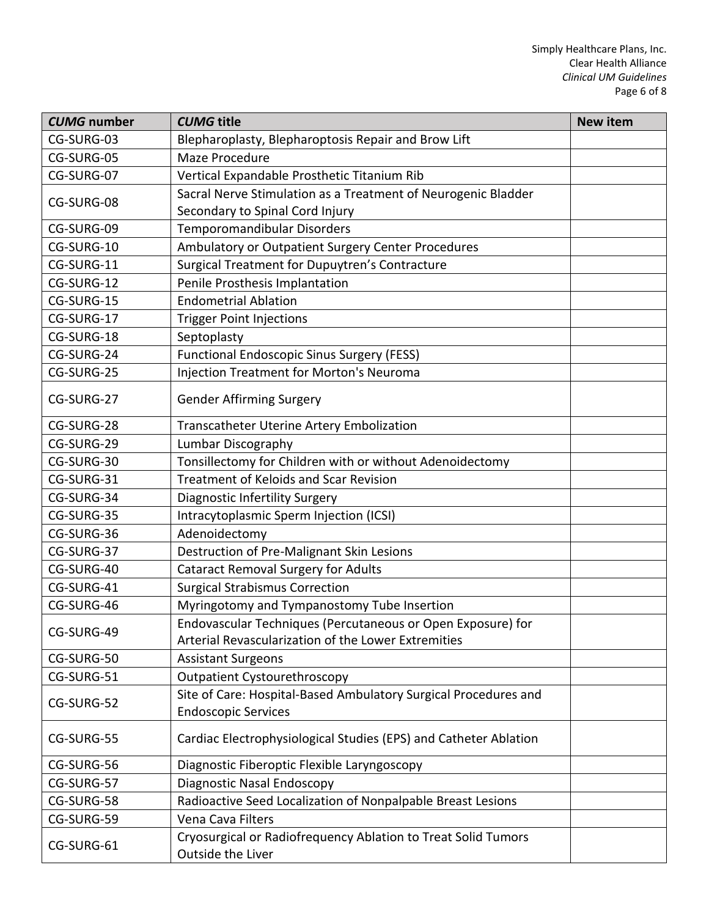| <b>CUMG</b> number | <b>CUMG title</b>                                                                             | <b>New item</b> |
|--------------------|-----------------------------------------------------------------------------------------------|-----------------|
| CG-SURG-03         | Blepharoplasty, Blepharoptosis Repair and Brow Lift                                           |                 |
| CG-SURG-05         | Maze Procedure                                                                                |                 |
| CG-SURG-07         | Vertical Expandable Prosthetic Titanium Rib                                                   |                 |
| CG-SURG-08         | Sacral Nerve Stimulation as a Treatment of Neurogenic Bladder                                 |                 |
|                    | Secondary to Spinal Cord Injury                                                               |                 |
| CG-SURG-09         | Temporomandibular Disorders                                                                   |                 |
| CG-SURG-10         | Ambulatory or Outpatient Surgery Center Procedures                                            |                 |
| CG-SURG-11         | Surgical Treatment for Dupuytren's Contracture                                                |                 |
| CG-SURG-12         | Penile Prosthesis Implantation                                                                |                 |
| CG-SURG-15         | <b>Endometrial Ablation</b>                                                                   |                 |
| CG-SURG-17         | <b>Trigger Point Injections</b>                                                               |                 |
| CG-SURG-18         | Septoplasty                                                                                   |                 |
| CG-SURG-24         | <b>Functional Endoscopic Sinus Surgery (FESS)</b>                                             |                 |
| CG-SURG-25         | <b>Injection Treatment for Morton's Neuroma</b>                                               |                 |
| CG-SURG-27         | <b>Gender Affirming Surgery</b>                                                               |                 |
| CG-SURG-28         | <b>Transcatheter Uterine Artery Embolization</b>                                              |                 |
| CG-SURG-29         | Lumbar Discography                                                                            |                 |
| CG-SURG-30         | Tonsillectomy for Children with or without Adenoidectomy                                      |                 |
| CG-SURG-31         | Treatment of Keloids and Scar Revision                                                        |                 |
| CG-SURG-34         | <b>Diagnostic Infertility Surgery</b>                                                         |                 |
| CG-SURG-35         | Intracytoplasmic Sperm Injection (ICSI)                                                       |                 |
| CG-SURG-36         | Adenoidectomy                                                                                 |                 |
| CG-SURG-37         | Destruction of Pre-Malignant Skin Lesions                                                     |                 |
| CG-SURG-40         | <b>Cataract Removal Surgery for Adults</b>                                                    |                 |
| CG-SURG-41         | <b>Surgical Strabismus Correction</b>                                                         |                 |
| CG-SURG-46         | Myringotomy and Tympanostomy Tube Insertion                                                   |                 |
| CG-SURG-49         | Endovascular Techniques (Percutaneous or Open Exposure) for                                   |                 |
|                    | Arterial Revascularization of the Lower Extremities                                           |                 |
| CG-SURG-50         | <b>Assistant Surgeons</b>                                                                     |                 |
| CG-SURG-51         | <b>Outpatient Cystourethroscopy</b>                                                           |                 |
| CG-SURG-52         | Site of Care: Hospital-Based Ambulatory Surgical Procedures and<br><b>Endoscopic Services</b> |                 |
| CG-SURG-55         | Cardiac Electrophysiological Studies (EPS) and Catheter Ablation                              |                 |
| CG-SURG-56         | Diagnostic Fiberoptic Flexible Laryngoscopy                                                   |                 |
| CG-SURG-57         | Diagnostic Nasal Endoscopy                                                                    |                 |
| CG-SURG-58         | Radioactive Seed Localization of Nonpalpable Breast Lesions                                   |                 |
| CG-SURG-59         | Vena Cava Filters                                                                             |                 |
| CG-SURG-61         | Cryosurgical or Radiofrequency Ablation to Treat Solid Tumors<br>Outside the Liver            |                 |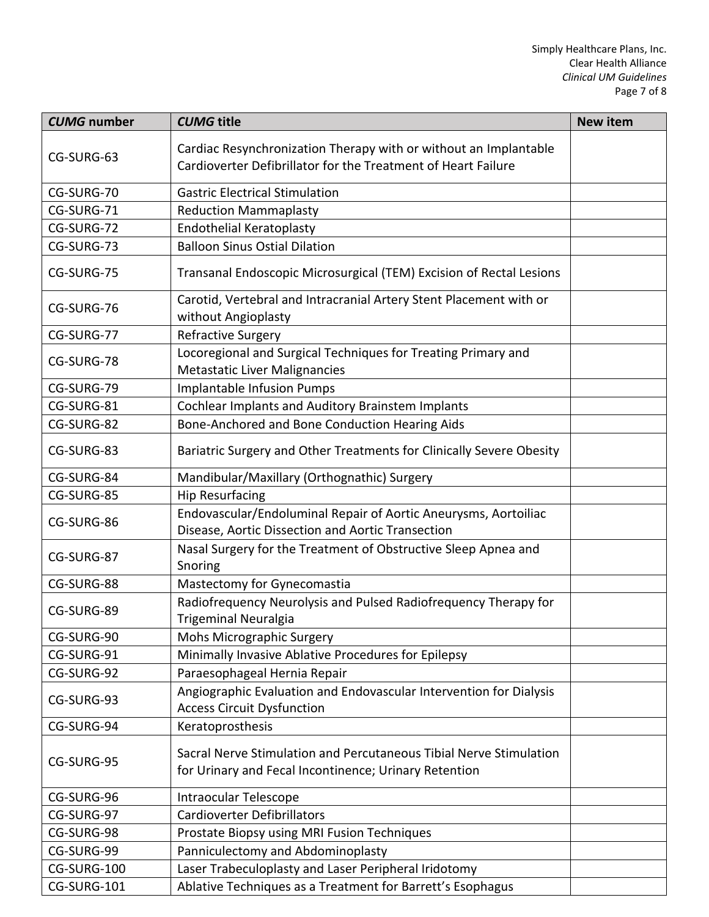| <b>CUMG</b> number | <b>CUMG</b> title                                                                                                                 | <b>New item</b> |
|--------------------|-----------------------------------------------------------------------------------------------------------------------------------|-----------------|
| CG-SURG-63         | Cardiac Resynchronization Therapy with or without an Implantable<br>Cardioverter Defibrillator for the Treatment of Heart Failure |                 |
| CG-SURG-70         | <b>Gastric Electrical Stimulation</b>                                                                                             |                 |
| CG-SURG-71         | <b>Reduction Mammaplasty</b>                                                                                                      |                 |
| CG-SURG-72         | <b>Endothelial Keratoplasty</b>                                                                                                   |                 |
| CG-SURG-73         | <b>Balloon Sinus Ostial Dilation</b>                                                                                              |                 |
| CG-SURG-75         | Transanal Endoscopic Microsurgical (TEM) Excision of Rectal Lesions                                                               |                 |
| CG-SURG-76         | Carotid, Vertebral and Intracranial Artery Stent Placement with or<br>without Angioplasty                                         |                 |
| CG-SURG-77         | <b>Refractive Surgery</b>                                                                                                         |                 |
| CG-SURG-78         | Locoregional and Surgical Techniques for Treating Primary and<br>Metastatic Liver Malignancies                                    |                 |
| CG-SURG-79         | <b>Implantable Infusion Pumps</b>                                                                                                 |                 |
| CG-SURG-81         | Cochlear Implants and Auditory Brainstem Implants                                                                                 |                 |
| CG-SURG-82         | Bone-Anchored and Bone Conduction Hearing Aids                                                                                    |                 |
| CG-SURG-83         | Bariatric Surgery and Other Treatments for Clinically Severe Obesity                                                              |                 |
| CG-SURG-84         | Mandibular/Maxillary (Orthognathic) Surgery                                                                                       |                 |
| CG-SURG-85         | <b>Hip Resurfacing</b>                                                                                                            |                 |
| CG-SURG-86         | Endovascular/Endoluminal Repair of Aortic Aneurysms, Aortoiliac<br>Disease, Aortic Dissection and Aortic Transection              |                 |
| CG-SURG-87         | Nasal Surgery for the Treatment of Obstructive Sleep Apnea and<br>Snoring                                                         |                 |
| CG-SURG-88         | Mastectomy for Gynecomastia                                                                                                       |                 |
| CG-SURG-89         | Radiofrequency Neurolysis and Pulsed Radiofrequency Therapy for<br><b>Trigeminal Neuralgia</b>                                    |                 |
| CG-SURG-90         | Mohs Micrographic Surgery                                                                                                         |                 |
| CG-SURG-91         | Minimally Invasive Ablative Procedures for Epilepsy                                                                               |                 |
| CG-SURG-92         | Paraesophageal Hernia Repair                                                                                                      |                 |
| CG-SURG-93         | Angiographic Evaluation and Endovascular Intervention for Dialysis<br><b>Access Circuit Dysfunction</b>                           |                 |
| CG-SURG-94         | Keratoprosthesis                                                                                                                  |                 |
| CG-SURG-95         | Sacral Nerve Stimulation and Percutaneous Tibial Nerve Stimulation<br>for Urinary and Fecal Incontinence; Urinary Retention       |                 |
| CG-SURG-96         | Intraocular Telescope                                                                                                             |                 |
| CG-SURG-97         | <b>Cardioverter Defibrillators</b>                                                                                                |                 |
| CG-SURG-98         | Prostate Biopsy using MRI Fusion Techniques                                                                                       |                 |
| CG-SURG-99         | Panniculectomy and Abdominoplasty                                                                                                 |                 |
| CG-SURG-100        | Laser Trabeculoplasty and Laser Peripheral Iridotomy                                                                              |                 |
| CG-SURG-101        | Ablative Techniques as a Treatment for Barrett's Esophagus                                                                        |                 |